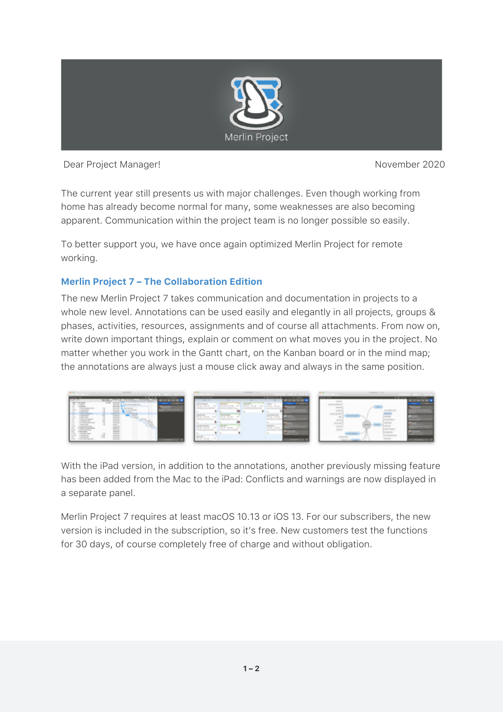

Dear Project Manager! November 2020

The current year still presents us with major challenges. Even though working from home has already become normal for many, some weaknesses are also becoming apparent. Communication within the project team is no longer possible so easily.

To better support you, we have once again optimized Merlin Project for remote working.

## **[Merlin Project 7 – The Collaboration Edition](https://www.projectwizards.net/en/merlin-project/download?affiliateID=1338D999-1608-4E6F-A6BE-B2CFDD8D10B2)**

The new Merlin Project 7 takes communication and documentation in projects to a whole new level. Annotations can be used easily and elegantly in all projects, groups & phases, activities, resources, assignments and of course all attachments. From now on, write down important things, explain or comment on what moves you in the project. No matter whether you work in the Gantt chart, on the Kanban board or in the mind map; the annotations are always just a mouse click away and always in the same position.



With the iPad version, in addition to the annotations, another previously missing feature has been added from the Mac to the iPad: Conflicts and warnings are now displayed in a separate panel.

Merlin Project 7 requires at least macOS 10.13 or iOS 13. For our subscribers, the new version is included in the subscription, so it's free. New customers test the functions for 30 days, of course completely free of charge and without obligation.